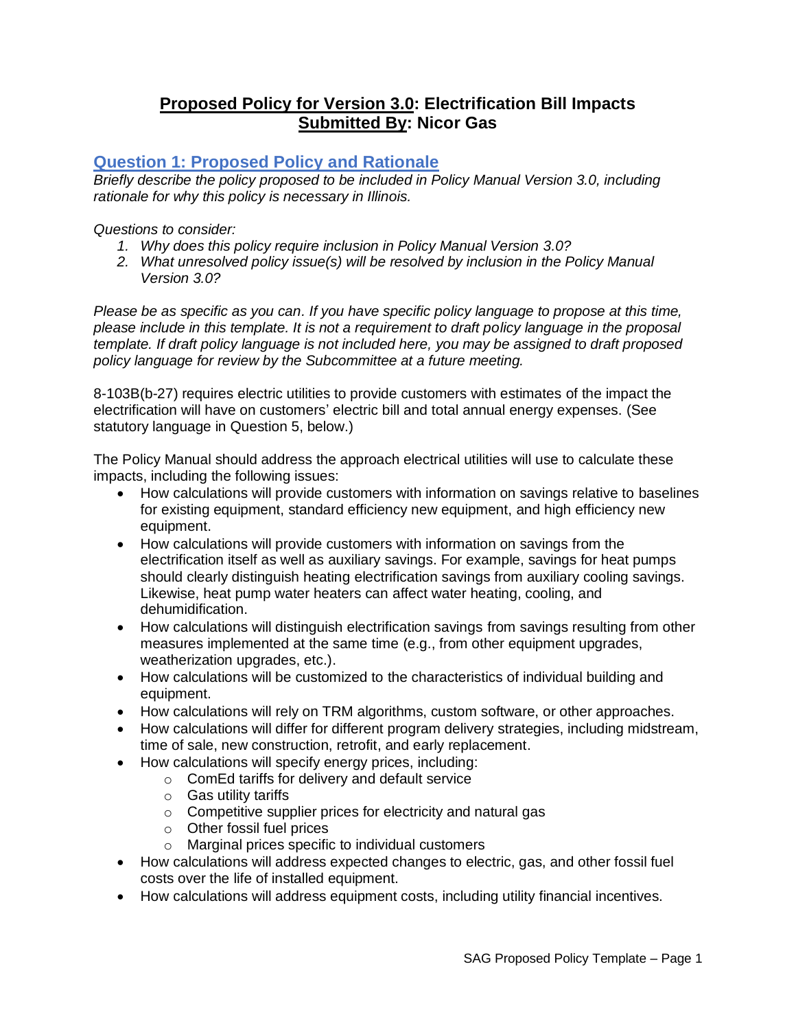# **Proposed Policy for Version 3.0: Electrification Bill Impacts Submitted By: Nicor Gas**

# **Question 1: Proposed Policy and Rationale**

*Briefly describe the policy proposed to be included in Policy Manual Version 3.0, including rationale for why this policy is necessary in Illinois.* 

*Questions to consider:* 

- *1. Why does this policy require inclusion in Policy Manual Version 3.0?*
- *2. What unresolved policy issue(s) will be resolved by inclusion in the Policy Manual Version 3.0?*

*Please be as specific as you can. If you have specific policy language to propose at this time, please include in this template. It is not a requirement to draft policy language in the proposal template. If draft policy language is not included here, you may be assigned to draft proposed policy language for review by the Subcommittee at a future meeting.*

8-103B(b-27) requires electric utilities to provide customers with estimates of the impact the electrification will have on customers' electric bill and total annual energy expenses. (See statutory language in Question 5, below.)

The Policy Manual should address the approach electrical utilities will use to calculate these impacts, including the following issues:

- How calculations will provide customers with information on savings relative to baselines for existing equipment, standard efficiency new equipment, and high efficiency new equipment.
- How calculations will provide customers with information on savings from the electrification itself as well as auxiliary savings. For example, savings for heat pumps should clearly distinguish heating electrification savings from auxiliary cooling savings. Likewise, heat pump water heaters can affect water heating, cooling, and dehumidification.
- How calculations will distinguish electrification savings from savings resulting from other measures implemented at the same time (e.g., from other equipment upgrades, weatherization upgrades, etc.).
- How calculations will be customized to the characteristics of individual building and equipment.
- How calculations will rely on TRM algorithms, custom software, or other approaches.
- How calculations will differ for different program delivery strategies, including midstream, time of sale, new construction, retrofit, and early replacement.
- How calculations will specify energy prices, including:
	- o ComEd tariffs for delivery and default service
	- o Gas utility tariffs
	- o Competitive supplier prices for electricity and natural gas
	- o Other fossil fuel prices
	- o Marginal prices specific to individual customers
- How calculations will address expected changes to electric, gas, and other fossil fuel costs over the life of installed equipment.
- How calculations will address equipment costs, including utility financial incentives.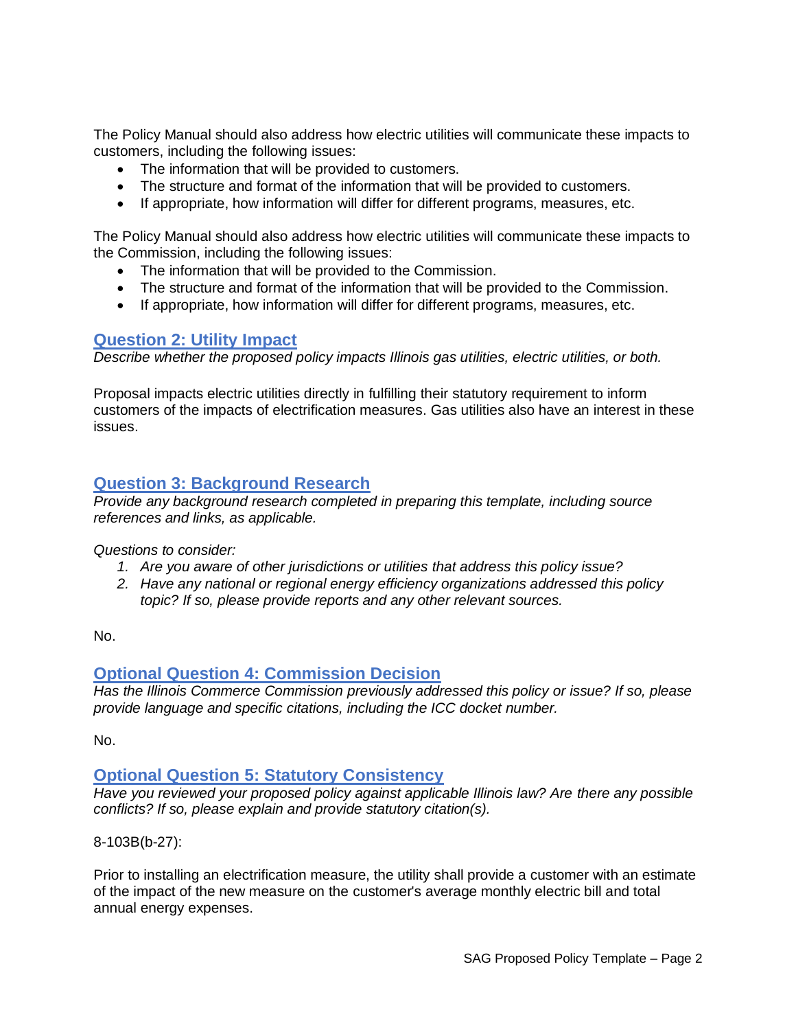The Policy Manual should also address how electric utilities will communicate these impacts to customers, including the following issues:

- The information that will be provided to customers.
- The structure and format of the information that will be provided to customers.
- If appropriate, how information will differ for different programs, measures, etc.

The Policy Manual should also address how electric utilities will communicate these impacts to the Commission, including the following issues:

- The information that will be provided to the Commission.
- The structure and format of the information that will be provided to the Commission.
- If appropriate, how information will differ for different programs, measures, etc.

#### **Question 2: Utility Impact**

*Describe whether the proposed policy impacts Illinois gas utilities, electric utilities, or both.* 

Proposal impacts electric utilities directly in fulfilling their statutory requirement to inform customers of the impacts of electrification measures. Gas utilities also have an interest in these issues.

### **Question 3: Background Research**

*Provide any background research completed in preparing this template, including source references and links, as applicable.* 

*Questions to consider:*

- *1. Are you aware of other jurisdictions or utilities that address this policy issue?*
- *2. Have any national or regional energy efficiency organizations addressed this policy topic? If so, please provide reports and any other relevant sources.*

No.

### **Optional Question 4: Commission Decision**

*Has the Illinois Commerce Commission previously addressed this policy or issue? If so, please provide language and specific citations, including the ICC docket number.*

No.

### **Optional Question 5: Statutory Consistency**

*Have you reviewed your proposed policy against applicable Illinois law? Are there any possible conflicts? If so, please explain and provide statutory citation(s).*

8-103B(b-27):

Prior to installing an electrification measure, the utility shall provide a customer with an estimate of the impact of the new measure on the customer's average monthly electric bill and total annual energy expenses.